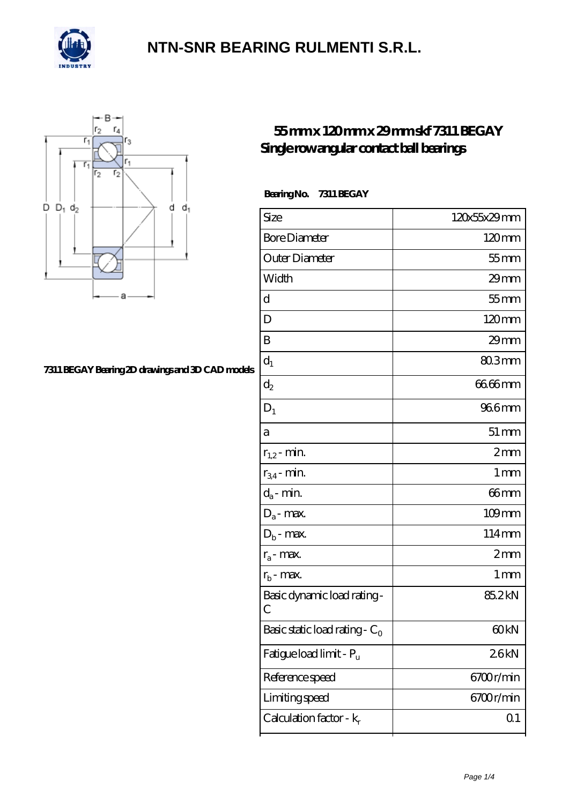



#### **[7311 BEGAY Bearing 2D drawings and 3D CAD models](https://confidencemenimprov.com/pic-64975410.html)**

### **[55 mm x 120 mm x 29 mm skf 7311 BEGAY](https://confidencemenimprov.com/bs-64975410-skf-7311-begay-single-row-angular-contact-ball-bearings.html) [Single row angular contact ball bearings](https://confidencemenimprov.com/bs-64975410-skf-7311-begay-single-row-angular-contact-ball-bearings.html)**

 **Bearing No. 7311 BEGAY**

| Size                                      | 120x55x29mm         |
|-------------------------------------------|---------------------|
| <b>Bore Diameter</b>                      | 120mm               |
| Outer Diameter                            | $55$ mm             |
| Width                                     | $29$ mm             |
| d                                         | $55$ mm             |
| D                                         | 120mm               |
| B                                         | 29mm                |
| $d_1$                                     | $803$ mm            |
| $\mathrm{d}_2$                            | 66.66mm             |
| $D_1$                                     | 966mm               |
| a                                         | $51 \, \mathrm{mm}$ |
| $r_{1,2}$ - min.                          | 2mm                 |
| $r_{34}$ - min.                           | 1 mm                |
| $d_a$ - min.                              | 66mm                |
| $D_a$ - max.                              | $109$ mm            |
| $D_b$ - max.                              | 114mm               |
| $r_a$ - max.                              | 2mm                 |
| $r_{b}$ - max.                            | $1 \,\mathrm{mm}$   |
| Basic dynamic load rating-<br>С           | 85.2kN              |
| Basic static load rating - $\mathrm{C}_0$ | 60 <sub>kN</sub>    |
| Fatigue load limit - Pu                   | 26kN                |
| Reference speed                           | 6700r/min           |
| Limiting speed                            | 6700r/min           |
| Calculation factor - $k_r$                | Q <sub>1</sub>      |
|                                           |                     |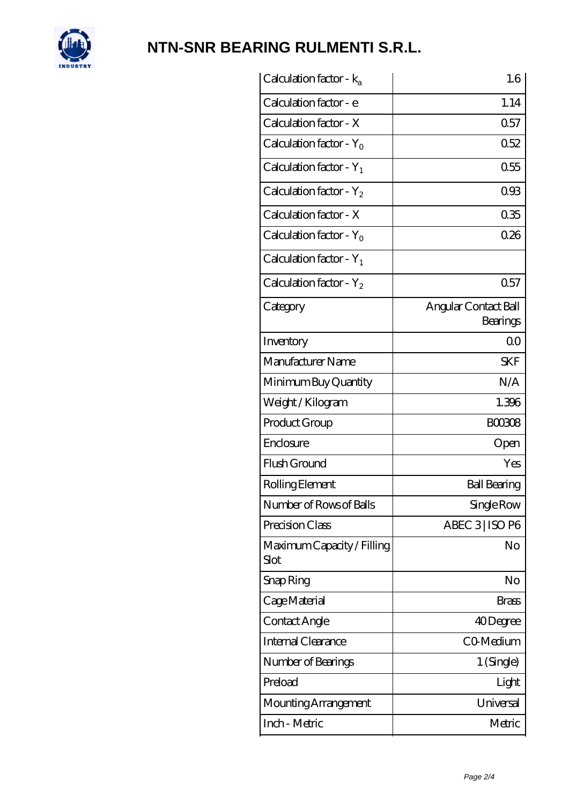

| Calculation factor - $k_a$         | 1.6                              |
|------------------------------------|----------------------------------|
| Calculation factor - e             | 1.14                             |
| Calculation factor - X             | 0.57                             |
| Calculation factor - $Y_0$         | 0.52                             |
| Calculation factor - $Y_1$         | 0.55                             |
| Calculation factor - $Y_2$         | 093                              |
| Calculation factor - X             | 035                              |
| Calculation factor - $Y_0$         | 026                              |
| Calculation factor - $Y_1$         |                                  |
| Calculation factor - $Y_2$         | 0.57                             |
| Category                           | Angular Contact Ball<br>Bearings |
| Inventory                          | 0 <sup>0</sup>                   |
| Manufacturer Name                  | <b>SKF</b>                       |
| Minimum Buy Quantity               | N/A                              |
| Weight / Kilogram                  | 1.396                            |
| Product Group                      | <b>BOO308</b>                    |
| Enclosure                          | Open                             |
| Flush Ground                       | Yes                              |
| Rolling Element                    | <b>Ball Bearing</b>              |
| Number of Rows of Balls            | Single Row                       |
| Precision Class                    | ABEC 3 ISO P6                    |
| Maximum Capacity / Filling<br>Slot | No                               |
| Snap Ring                          | No                               |
| Cage Material                      | <b>Brass</b>                     |
| Contact Angle                      | 40Degree                         |
| Internal Clearance                 | CO-Medium                        |
| Number of Bearings                 | 1 (Single)                       |
| Preload                            | Light                            |
| Mounting Arrangement               | Universal                        |
| Inch - Metric                      | Metric                           |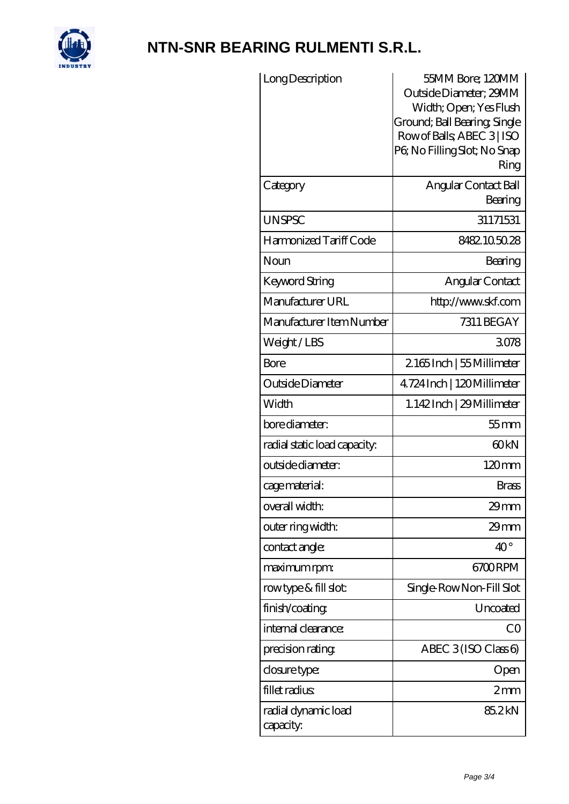

| Long Description                 | 55MM Bore; 120MM<br>Outside Diameter; 29MM<br>Width; Open; Yes Flush<br>Ground; Ball Bearing; Single<br>Row of Balls, ABEC 3   ISO<br>P6; No Filling Slot; No Snap<br>Ring |
|----------------------------------|----------------------------------------------------------------------------------------------------------------------------------------------------------------------------|
| Category                         | Angular Contact Ball<br>Bearing                                                                                                                                            |
| <b>UNSPSC</b>                    | 31171531                                                                                                                                                                   |
| Harmonized Tariff Code           | 8482105028                                                                                                                                                                 |
| Noun                             | Bearing                                                                                                                                                                    |
| <b>Keyword String</b>            | Angular Contact                                                                                                                                                            |
| Manufacturer URL                 | http://www.skf.com                                                                                                                                                         |
| Manufacturer Item Number         | 7311 BEGAY                                                                                                                                                                 |
| Weight/LBS                       | 3078                                                                                                                                                                       |
| Bore                             | 2165Inch   55 Millimeter                                                                                                                                                   |
| Outside Diameter                 | 4724 Inch   120 Millimeter                                                                                                                                                 |
| Width                            | 1.142Inch   29 Millimeter                                                                                                                                                  |
| bore diameter:                   | $55$ mm                                                                                                                                                                    |
| radial static load capacity:     | 60 <sub>kN</sub>                                                                                                                                                           |
| outside diameter:                | 120mm                                                                                                                                                                      |
| cage material:                   | <b>Brass</b>                                                                                                                                                               |
| overall width:                   | $29$ mm                                                                                                                                                                    |
| outer ring width:                | $29$ mm                                                                                                                                                                    |
| contact angle:                   | $40^{\circ}$                                                                                                                                                               |
| maximum rpm:                     | 6700RPM                                                                                                                                                                    |
| rowtype & fill slot:             | Single Row Non-Fill Slot                                                                                                                                                   |
| finish/coating                   | Uncoated                                                                                                                                                                   |
| internal clearance:              | CO                                                                                                                                                                         |
| precision rating                 | ABEC $3(ISO Class 6)$                                                                                                                                                      |
| closure type:                    | Open                                                                                                                                                                       |
| fillet radius                    | 2mm                                                                                                                                                                        |
| radial dynamic load<br>capacity: | 85.2kN                                                                                                                                                                     |